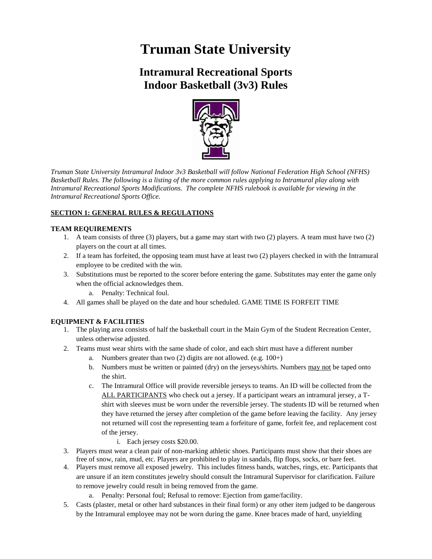# **Truman State University**

# **Intramural Recreational Sports Indoor Basketball (3v3) Rules**



*Truman State University Intramural Indoor 3v3 Basketball will follow National Federation High School (NFHS) Basketball Rules. The following is a listing of the more common rules applying to Intramural play along with Intramural Recreational Sports Modifications. The complete NFHS rulebook is available for viewing in the Intramural Recreational Sports Office.*

# **SECTION 1: GENERAL RULES & REGULATIONS**

# **TEAM REQUIREMENTS**

- 1. A team consists of three (3) players, but a game may start with two (2) players. A team must have two (2) players on the court at all times.
- 2. If a team has forfeited, the opposing team must have at least two (2) players checked in with the Intramural employee to be credited with the win.
- 3. Substitutions must be reported to the scorer before entering the game. Substitutes may enter the game only when the official acknowledges them.
	- a. Penalty: Technical foul.
- 4. All games shall be played on the date and hour scheduled. GAME TIME IS FORFEIT TIME

# **EQUIPMENT & FACILITIES**

- 1. The playing area consists of half the basketball court in the Main Gym of the Student Recreation Center, unless otherwise adjusted.
- 2. Teams must wear shirts with the same shade of color, and each shirt must have a different number
	- a. Numbers greater than two (2) digits are not allowed. (e.g. 100+)
	- b. Numbers must be written or painted (dry) on the jerseys/shirts. Numbers may not be taped onto the shirt.
	- c. The Intramural Office will provide reversible jerseys to teams. An ID will be collected from the ALL PARTICIPANTS who check out a jersey. If a participant wears an intramural jersey, a Tshirt with sleeves must be worn under the reversible jersey. The students ID will be returned when they have returned the jersey after completion of the game before leaving the facility. Any jersey not returned will cost the representing team a forfeiture of game, forfeit fee, and replacement cost of the jersey.

#### i. Each jersey costs \$20.00.

- 3. Players must wear a clean pair of non-marking athletic shoes. Participants must show that their shoes are free of snow, rain, mud, etc. Players are prohibited to play in sandals, flip flops, socks, or bare feet.
- 4. Players must remove all exposed jewelry. This includes fitness bands, watches, rings, etc. Participants that are unsure if an item constitutes jewelry should consult the Intramural Supervisor for clarification. Failure to remove jewelry could result in being removed from the game.
	- a. Penalty: Personal foul; Refusal to remove: Ejection from game/facility.
- 5. Casts (plaster, metal or other hard substances in their final form) or any other item judged to be dangerous by the Intramural employee may not be worn during the game. Knee braces made of hard, unyielding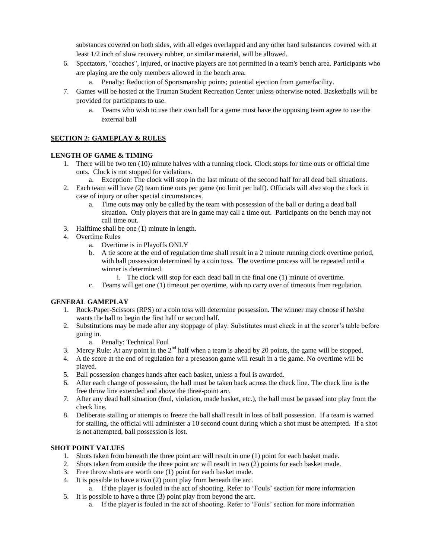substances covered on both sides, with all edges overlapped and any other hard substances covered with at least 1/2 inch of slow recovery rubber, or similar material, will be allowed.

- 6. Spectators, "coaches", injured, or inactive players are not permitted in a team's bench area. Participants who are playing are the only members allowed in the bench area.
	- a. Penalty: Reduction of Sportsmanship points; potential ejection from game/facility.
- 7. Games will be hosted at the Truman Student Recreation Center unless otherwise noted. Basketballs will be provided for participants to use.
	- a. Teams who wish to use their own ball for a game must have the opposing team agree to use the external ball

#### **SECTION 2: GAMEPLAY & RULES**

# **LENGTH OF GAME & TIMING**

- 1. There will be two ten (10) minute halves with a running clock. Clock stops for time outs or official time outs. Clock is not stopped for violations.
	- a. Exception: The clock will stop in the last minute of the second half for all dead ball situations.
- 2. Each team will have (2) team time outs per game (no limit per half). Officials will also stop the clock in case of injury or other special circumstances.
	- a. Time outs may only be called by the team with possession of the ball or during a dead ball situation. Only players that are in game may call a time out. Participants on the bench may not call time out.
- 3. Halftime shall be one (1) minute in length.
- 4. Overtime Rules
	- a. Overtime is in Playoffs ONLY
	- b. A tie score at the end of regulation time shall result in a 2 minute running clock overtime period, with ball possession determined by a coin toss. The overtime process will be repeated until a winner is determined.
		- i. The clock will stop for each dead ball in the final one (1) minute of overtime.
	- c. Teams will get one (1) timeout per overtime, with no carry over of timeouts from regulation.

#### **GENERAL GAMEPLAY**

- 1. Rock-Paper-Scissors (RPS) or a coin toss will determine possession. The winner may choose if he/she wants the ball to begin the first half or second half.
- 2. Substitutions may be made after any stoppage of play. Substitutes must check in at the scorer's table before going in.
	- a. Penalty: Technical Foul
- 3. Mercy Rule: At any point in the  $2<sup>nd</sup>$  half when a team is ahead by 20 points, the game will be stopped.
- 4. A tie score at the end of regulation for a preseason game will result in a tie game. No overtime will be played.
- 5. Ball possession changes hands after each basket, unless a foul is awarded.
- 6. After each change of possession, the ball must be taken back across the check line. The check line is the free throw line extended and above the three-point arc.
- 7. After any dead ball situation (foul, violation, made basket, etc.), the ball must be passed into play from the check line.
- 8. Deliberate stalling or attempts to freeze the ball shall result in loss of ball possession. If a team is warned for stalling, the official will administer a 10 second count during which a shot must be attempted. If a shot is not attempted, ball possession is lost.

#### **SHOT POINT VALUES**

- 1. Shots taken from beneath the three point arc will result in one (1) point for each basket made.
- 2. Shots taken from outside the three point arc will result in two (2) points for each basket made.
- 3. Free throw shots are worth one (1) point for each basket made.
- 4. It is possible to have a two (2) point play from beneath the arc.
- a. If the player is fouled in the act of shooting. Refer to 'Fouls' section for more information 5. It is possible to have a three (3) point play from beyond the arc.
	- a. If the player is fouled in the act of shooting. Refer to 'Fouls' section for more information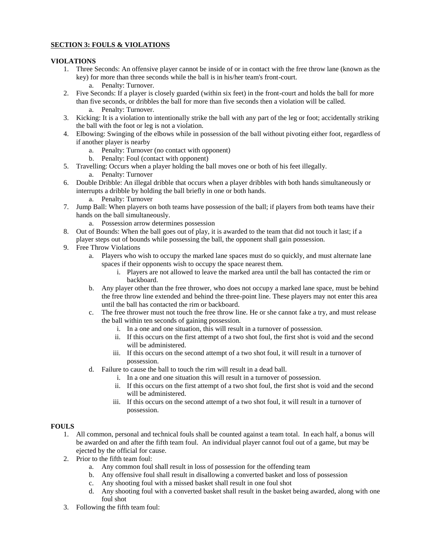# **SECTION 3: FOULS & VIOLATIONS**

#### **VIOLATIONS**

- 1. Three Seconds: An offensive player cannot be inside of or in contact with the free throw lane (known as the key) for more than three seconds while the ball is in his/her team's front-court.
	- a. Penalty: Turnover.
- 2. Five Seconds: If a player is closely guarded (within six feet) in the front-court and holds the ball for more than five seconds, or dribbles the ball for more than five seconds then a violation will be called.
	- a. Penalty: Turnover.
- 3. Kicking: It is a violation to intentionally strike the ball with any part of the leg or foot; accidentally striking the ball with the foot or leg is not a violation.
- 4. Elbowing: Swinging of the elbows while in possession of the ball without pivoting either foot, regardless of if another player is nearby
	- a. Penalty: Turnover (no contact with opponent)
	- b. Penalty: Foul (contact with opponent)
- 5. Travelling: Occurs when a player holding the ball moves one or both of his feet illegally.
	- a. Penalty: Turnover
- 6. Double Dribble: An illegal dribble that occurs when a player dribbles with both hands simultaneously or interrupts a dribble by holding the ball briefly in one or both hands.
	- a. Penalty: Turnover
- 7. Jump Ball: When players on both teams have possession of the ball; if players from both teams have their hands on the ball simultaneously.
	- a. Possession arrow determines possession
- 8. Out of Bounds: When the ball goes out of play, it is awarded to the team that did not touch it last; if a player steps out of bounds while possessing the ball, the opponent shall gain possession.
- 9. Free Throw Violations
	- a. Players who wish to occupy the marked lane spaces must do so quickly, and must alternate lane spaces if their opponents wish to occupy the space nearest them.
		- i. Players are not allowed to leave the marked area until the ball has contacted the rim or backboard.
	- b. Any player other than the free thrower, who does not occupy a marked lane space, must be behind the free throw line extended and behind the three-point line. These players may not enter this area until the ball has contacted the rim or backboard.
	- c. The free thrower must not touch the free throw line. He or she cannot fake a try, and must release the ball within ten seconds of gaining possession.
		- i. In a one and one situation, this will result in a turnover of possession.
		- ii. If this occurs on the first attempt of a two shot foul, the first shot is void and the second will be administered.
		- iii. If this occurs on the second attempt of a two shot foul, it will result in a turnover of possession.
	- d. Failure to cause the ball to touch the rim will result in a dead ball.
		- i. In a one and one situation this will result in a turnover of possession.
		- ii. If this occurs on the first attempt of a two shot foul, the first shot is void and the second will be administered.
		- iii. If this occurs on the second attempt of a two shot foul, it will result in a turnover of possession.

#### **FOULS**

- 1. All common, personal and technical fouls shall be counted against a team total. In each half, a bonus will be awarded on and after the fifth team foul. An individual player cannot foul out of a game, but may be ejected by the official for cause.
- 2. Prior to the fifth team foul:
	- a. Any common foul shall result in loss of possession for the offending team
	- b. Any offensive foul shall result in disallowing a converted basket and loss of possession
	- c. Any shooting foul with a missed basket shall result in one foul shot
	- d. Any shooting foul with a converted basket shall result in the basket being awarded, along with one foul shot
- 3. Following the fifth team foul: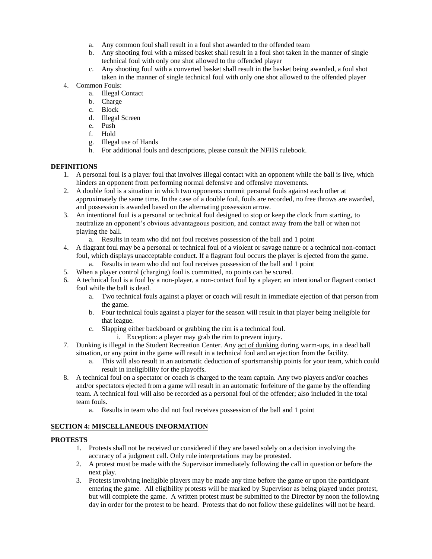- a. Any common foul shall result in a foul shot awarded to the offended team
- b. Any shooting foul with a missed basket shall result in a foul shot taken in the manner of single technical foul with only one shot allowed to the offended player
- c. Any shooting foul with a converted basket shall result in the basket being awarded, a foul shot taken in the manner of single technical foul with only one shot allowed to the offended player

#### 4. Common Fouls:

- a. Illegal Contact
- b. Charge
- c. Block
- d. Illegal Screen
- e. Push
- f. Hold
- g. Illegal use of Hands
- h. For additional fouls and descriptions, please consult the NFHS rulebook.

#### **DEFINITIONS**

- 1. A personal foul is a player foul that involves illegal contact with an opponent while the ball is live, which hinders an opponent from performing normal defensive and offensive movements.
- 2. A double foul is a situation in which two opponents commit personal fouls against each other at approximately the same time. In the case of a double foul, fouls are recorded, no free throws are awarded, and possession is awarded based on the alternating possession arrow.
- 3. An intentional foul is a personal or technical foul designed to stop or keep the clock from starting, to neutralize an opponent's obvious advantageous position, and contact away from the ball or when not playing the ball.
	- a. Results in team who did not foul receives possession of the ball and 1 point
- 4. A flagrant foul may be a personal or technical foul of a violent or savage nature or a technical non-contact foul, which displays unacceptable conduct. If a flagrant foul occurs the player is ejected from the game.
	- a. Results in team who did not foul receives possession of the ball and 1 point
- 5. When a player control (charging) foul is committed, no points can be scored.
- 6. A technical foul is a foul by a non-player, a non-contact foul by a player; an intentional or flagrant contact foul while the ball is dead.
	- a. Two technical fouls against a player or coach will result in immediate ejection of that person from the game.
	- b. Four technical fouls against a player for the season will result in that player being ineligible for that league.
	- c. Slapping either backboard or grabbing the rim is a technical foul.
		- i. Exception: a player may grab the rim to prevent injury.
- 7. Dunking is illegal in the Student Recreation Center. Any act of dunking during warm-ups, in a dead ball situation, or any point in the game will result in a technical foul and an ejection from the facility.
	- a. This will also result in an automatic deduction of sportsmanship points for your team, which could result in ineligibility for the playoffs.
- 8. A technical foul on a spectator or coach is charged to the team captain. Any two players and/or coaches and/or spectators ejected from a game will result in an automatic forfeiture of the game by the offending team. A technical foul will also be recorded as a personal foul of the offender; also included in the total team fouls.
	- a. Results in team who did not foul receives possession of the ball and 1 point

#### **SECTION 4: MISCELLANEOUS INFORMATION**

#### **PROTESTS**

- 1. Protests shall not be received or considered if they are based solely on a decision involving the accuracy of a judgment call. Only rule interpretations may be protested.
- 2. A protest must be made with the Supervisor immediately following the call in question or before the next play.
- 3. Protests involving ineligible players may be made any time before the game or upon the participant entering the game. All eligibility protests will be marked by Supervisor as being played under protest, but will complete the game. A written protest must be submitted to the Director by noon the following day in order for the protest to be heard. Protests that do not follow these guidelines will not be heard.